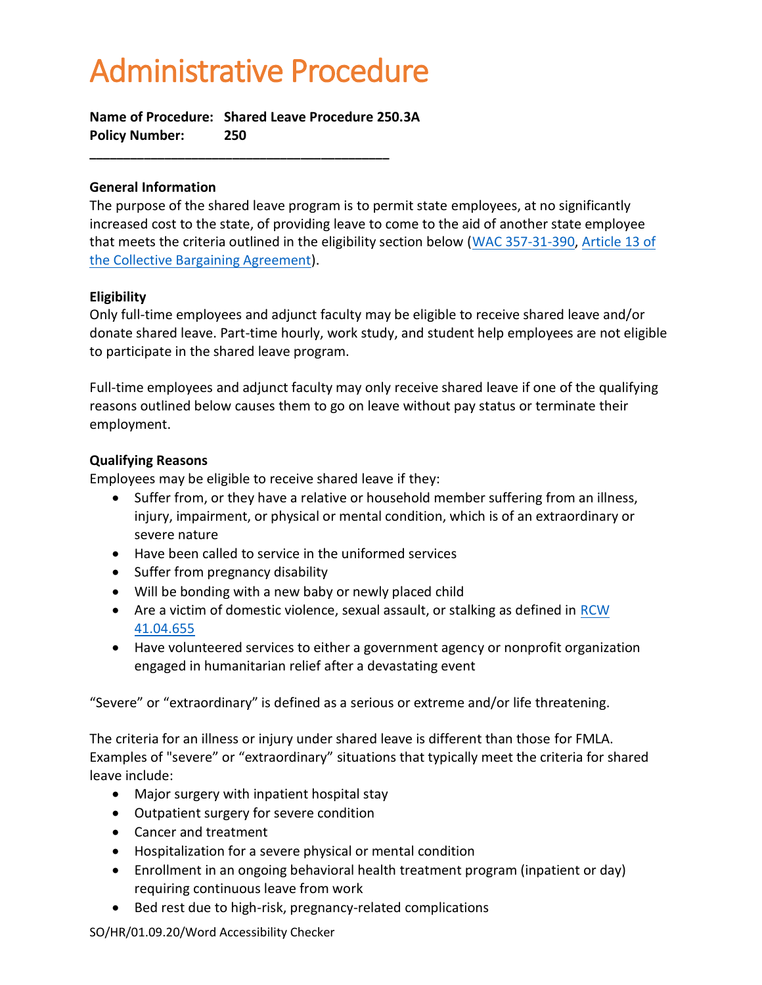# Administrative Procedure

**Name of Procedure: Shared Leave Procedure 250.3A Policy Number: 250**

**\_\_\_\_\_\_\_\_\_\_\_\_\_\_\_\_\_\_\_\_\_\_\_\_\_\_\_\_\_\_\_\_\_\_\_\_\_\_\_\_\_\_\_\_**

## **General Information**

The purpose of the shared leave program is to permit state employees, at no significantly increased cost to the state, of providing leave to come to the aid of another state employee that meets the criteria outlined in the eligibility section below [\(WAC 357-31-390,](http://apps.leg.wa.gov/WAC/default.aspx?cite=357-31-390) [Article 13 of](http://internal.lowercolumbia.edu/departments/human-resources/_assets/documents/ClassifiedStaffContract_WFSE.pdf)  [the Collective Bargaining Agreement\)](http://internal.lowercolumbia.edu/departments/human-resources/_assets/documents/ClassifiedStaffContract_WFSE.pdf).

## **Eligibility**

Only full-time employees and adjunct faculty may be eligible to receive shared leave and/or donate shared leave. Part-time hourly, work study, and student help employees are not eligible to participate in the shared leave program.

Full-time employees and adjunct faculty may only receive shared leave if one of the qualifying reasons outlined below causes them to go on leave without pay status or terminate their employment.

# **Qualifying Reasons**

Employees may be eligible to receive shared leave if they:

- Suffer from, or they have a relative or household member suffering from an illness, injury, impairment, or physical or mental condition, which is of an extraordinary or severe nature
- Have been called to service in the uniformed services
- Suffer from pregnancy disability
- Will be bonding with a new baby or newly placed child
- Are a victim of domestic violence, sexual assault, or stalking as defined in [RCW](http://apps.leg.wa.gov/RCW/default.aspx?cite=41.04.655)  [41.04.655](http://apps.leg.wa.gov/RCW/default.aspx?cite=41.04.655)
- Have volunteered services to either a government agency or nonprofit organization engaged in humanitarian relief after a devastating event

"Severe" or "extraordinary" is defined as a serious or extreme and/or life threatening.

The criteria for an illness or injury under shared leave is different than those for FMLA. Examples of "severe" or "extraordinary" situations that typically meet the criteria for shared leave include:

- Major surgery with inpatient hospital stay
- Outpatient surgery for severe condition
- Cancer and treatment
- Hospitalization for a severe physical or mental condition
- Enrollment in an ongoing behavioral health treatment program (inpatient or day) requiring continuous leave from work
- Bed rest due to high-risk, pregnancy-related complications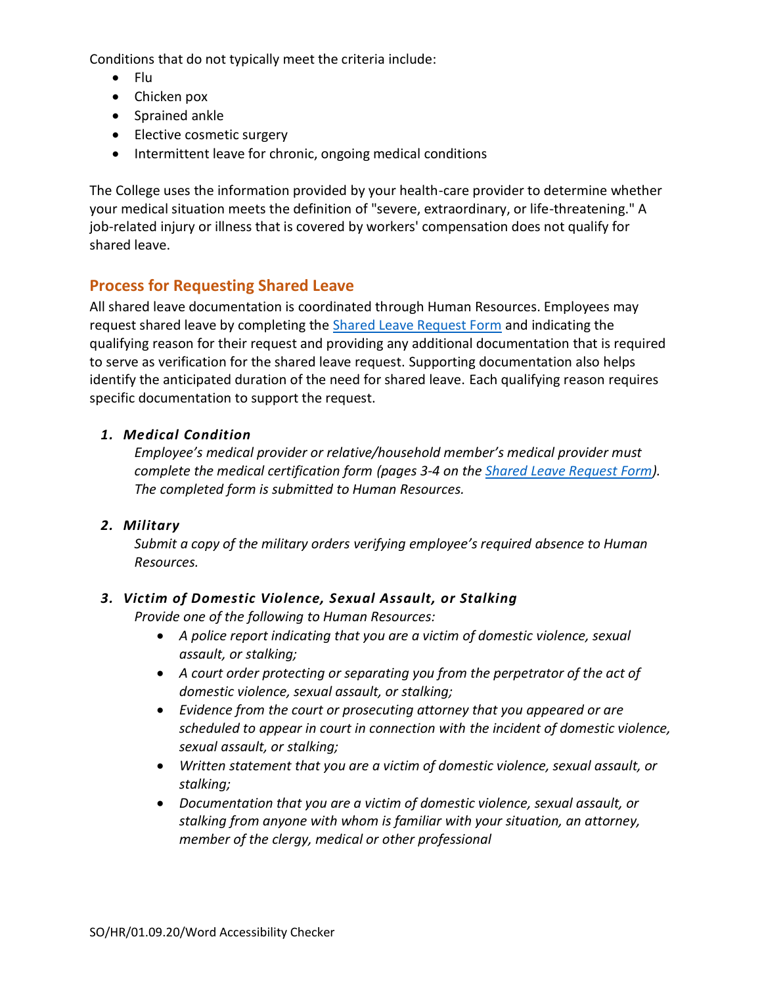Conditions that do not typically meet the criteria include:

- Flu
- Chicken pox
- Sprained ankle
- Elective cosmetic surgery
- Intermittent leave for chronic, ongoing medical conditions

The College uses the information provided by your health-care provider to determine whether your medical situation meets the definition of "severe, extraordinary, or life-threatening." A job-related injury or illness that is covered by workers' compensation does not qualify for shared leave.

# **Process for Requesting Shared Leave**

All shared leave documentation is coordinated through Human Resources. Employees may request shared leave by completing the **Shared Leave Request Form** and indicating the qualifying reason for their request and providing any additional documentation that is required to serve as verification for the shared leave request. Supporting documentation also helps identify the anticipated duration of the need for shared leave. Each qualifying reason requires specific documentation to support the request.

# *1. Medical Condition*

*Employee's medical provider or relative/household member's medical provider must complete the medical certification form (pages 3-4 on the [Shared Leave Request Form\)](http://internal.lowercolumbia.edu/departments/human-resources/_assets/documents/SharedLeaveRequestForm.pdf). The completed form is submitted to Human Resources.*

# *2. Military*

*Submit a copy of the military orders verifying employee's required absence to Human Resources.*

# *3. Victim of Domestic Violence, Sexual Assault, or Stalking*

*Provide one of the following to Human Resources:*

- *A police report indicating that you are a victim of domestic violence, sexual assault, or stalking;*
- *A court order protecting or separating you from the perpetrator of the act of domestic violence, sexual assault, or stalking;*
- *Evidence from the court or prosecuting attorney that you appeared or are scheduled to appear in court in connection with the incident of domestic violence, sexual assault, or stalking;*
- *Written statement that you are a victim of domestic violence, sexual assault, or stalking;*
- *Documentation that you are a victim of domestic violence, sexual assault, or stalking from anyone with whom is familiar with your situation, an attorney, member of the clergy, medical or other professional*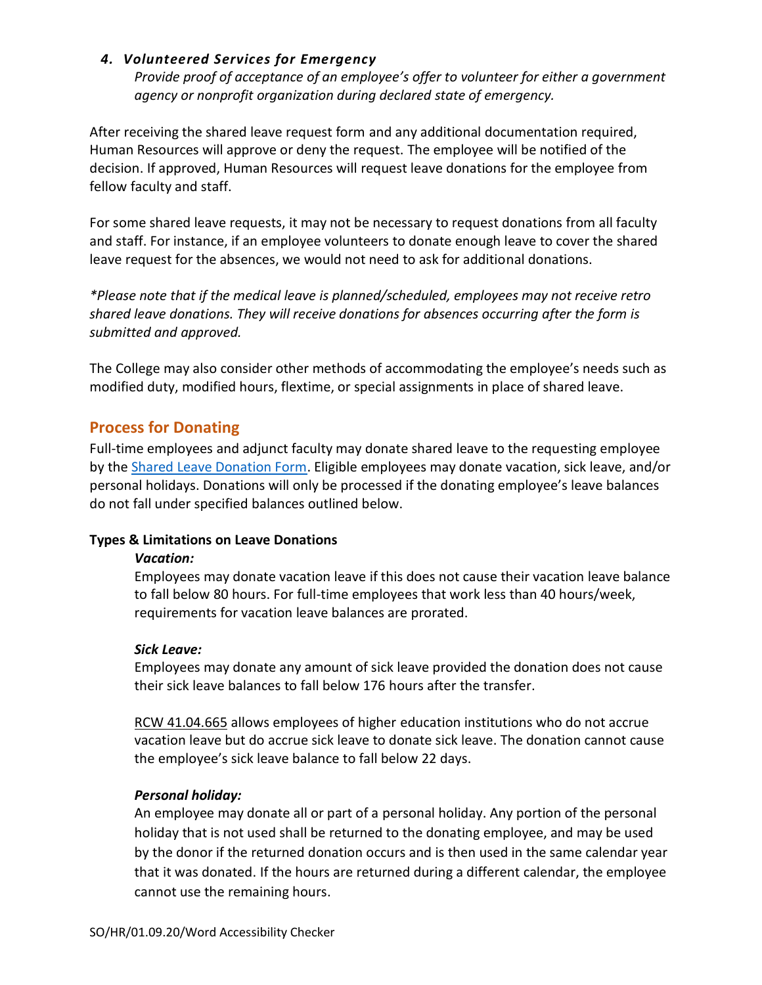## *4. Volunteered Services for Emergency*

*Provide proof of acceptance of an employee's offer to volunteer for either a government agency or nonprofit organization during declared state of emergency.*

After receiving the shared leave request form and any additional documentation required, Human Resources will approve or deny the request. The employee will be notified of the decision. If approved, Human Resources will request leave donations for the employee from fellow faculty and staff.

For some shared leave requests, it may not be necessary to request donations from all faculty and staff. For instance, if an employee volunteers to donate enough leave to cover the shared leave request for the absences, we would not need to ask for additional donations.

*\*Please note that if the medical leave is planned/scheduled, employees may not receive retro shared leave donations. They will receive donations for absences occurring after the form is submitted and approved.*

The College may also consider other methods of accommodating the employee's needs such as modified duty, modified hours, flextime, or special assignments in place of shared leave.

# **Process for Donating**

Full-time employees and adjunct faculty may donate shared leave to the requesting employee by the [Shared Leave Donation Form.](http://internal.lowercolumbia.edu/departments/human-resources/_assets/documents/SharedLeaveDonationForm.pdf) Eligible employees may donate vacation, sick leave, and/or personal holidays. Donations will only be processed if the donating employee's leave balances do not fall under specified balances outlined below.

#### **Types & Limitations on Leave Donations**

#### *Vacation:*

Employees may donate vacation leave if this does not cause their vacation leave balance to fall below 80 hours. For full-time employees that work less than 40 hours/week, requirements for vacation leave balances are prorated.

#### *Sick Leave:*

Employees may donate any amount of sick leave provided the donation does not cause their sick leave balances to fall below 176 hours after the transfer.

[RCW 41.04.665](http://apps.leg.wa.gov/RCW/default.aspx?cite=RCW%2041.04.665) allows employees of higher education institutions who do not accrue vacation leave but do accrue sick leave to donate sick leave. The donation cannot cause the employee's sick leave balance to fall below 22 days.

# *Personal holiday:*

An employee may donate all or part of a personal holiday. Any portion of the personal holiday that is not used shall be returned to the donating employee, and may be used by the donor if the returned donation occurs and is then used in the same calendar year that it was donated. If the hours are returned during a different calendar, the employee cannot use the remaining hours.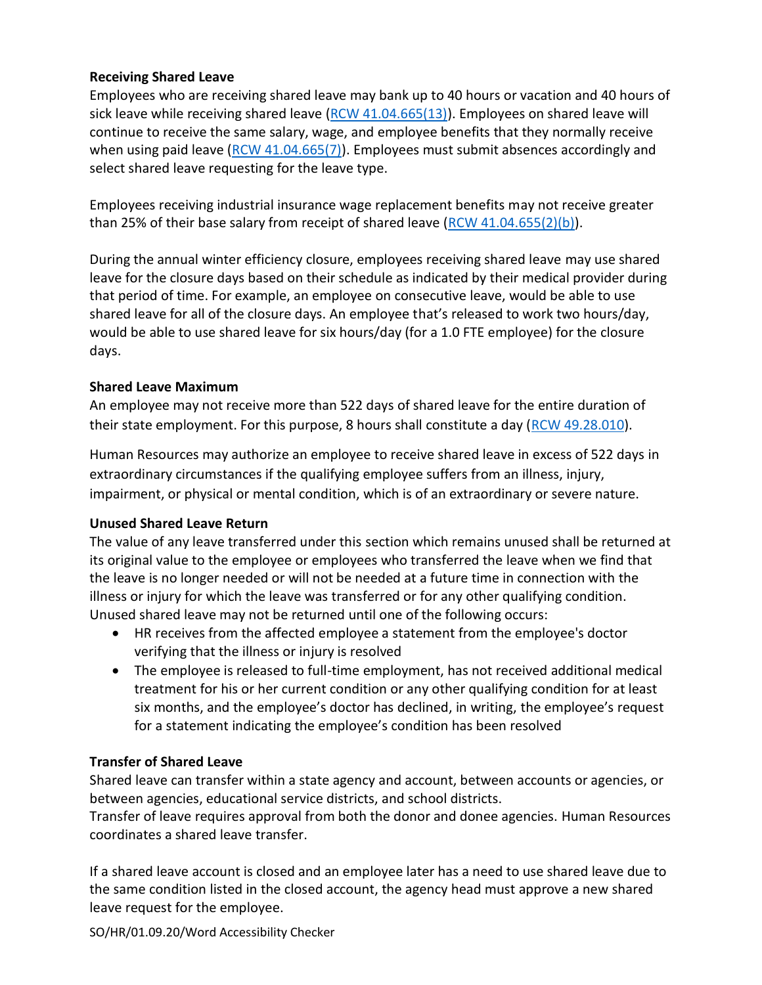# **Receiving Shared Leave**

Employees who are receiving shared leave may bank up to 40 hours or vacation and 40 hours of sick leave while receiving shared leave (RCW  $41.04.665(13)$ ). Employees on shared leave will continue to receive the same salary, wage, and employee benefits that they normally receive when using paid leave  $(RCW 41.04.665(7))$ . Employees must submit absences accordingly and select shared leave requesting for the leave type.

Employees receiving industrial insurance wage replacement benefits may not receive greater than 25% of their base salary from receipt of shared leave  $(RCW 41.04.655(2)(b)).$  $(RCW 41.04.655(2)(b)).$ 

During the annual winter efficiency closure, employees receiving shared leave may use shared leave for the closure days based on their schedule as indicated by their medical provider during that period of time. For example, an employee on consecutive leave, would be able to use shared leave for all of the closure days. An employee that's released to work two hours/day, would be able to use shared leave for six hours/day (for a 1.0 FTE employee) for the closure days.

# **Shared Leave Maximum**

An employee may not receive more than 522 days of shared leave for the entire duration of their state employment. For this purpose, 8 hours shall constitute a day [\(RCW 49.28.010\)](https://app.leg.wa.gov/RCW/default.aspx?cite=49.28.010).

Human Resources may authorize an employee to receive shared leave in excess of 522 days in extraordinary circumstances if the qualifying employee suffers from an illness, injury, impairment, or physical or mental condition, which is of an extraordinary or severe nature.

# **Unused Shared Leave Return**

The value of any leave transferred under this section which remains unused shall be returned at its original value to the employee or employees who transferred the leave when we find that the leave is no longer needed or will not be needed at a future time in connection with the illness or injury for which the leave was transferred or for any other qualifying condition. Unused shared leave may not be returned until one of the following occurs:

- HR receives from the affected employee a statement from the employee's doctor verifying that the illness or injury is resolved
- The employee is released to full-time employment, has not received additional medical treatment for his or her current condition or any other qualifying condition for at least six months, and the employee's doctor has declined, in writing, the employee's request for a statement indicating the employee's condition has been resolved

# **Transfer of Shared Leave**

Shared leave can transfer within a state agency and account, between accounts or agencies, or between agencies, educational service districts, and school districts.

Transfer of leave requires approval from both the donor and donee agencies. Human Resources coordinates a shared leave transfer.

If a shared leave account is closed and an employee later has a need to use shared leave due to the same condition listed in the closed account, the agency head must approve a new shared leave request for the employee.

SO/HR/01.09.20/Word Accessibility Checker